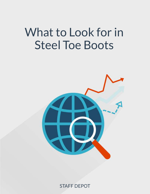# What to Look for in Steel Toe Boots



STAFF DEPOT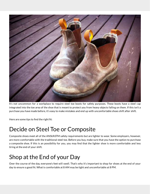

It's not uncommon for a workplace to require steel toe boots for safety purposes. These boots have a steel cap integrated into the toe area of the shoe that is meant to protect you from heavy objects falling on them. If this isn't a purchase you have made before, it's easy to make mistakes and end up with uncomfortable shoes shift after shift.

Here are some tips to find the right fit:

# Decide on Steel Toe or Composite

Composite shoes meet all of the ANSI/ASTM safety requirements but are lighter to wear. Some employers, however, are more comfortable with the traditional steel toe. Before you buy, make sure that you have the option to purchase a composite shoe. If this is an possibility for you, you may find that the lighter shoe is more comfortable and less tiring at the end of your shift.

# Shop at the End of your Day

Over the course of the day, everyone's feet will swell. That's why it's important to shop for shoes at the end of your day to ensure a good fit. What is comfortable at 8 AM may be tight and uncomfortable at 8 PM.